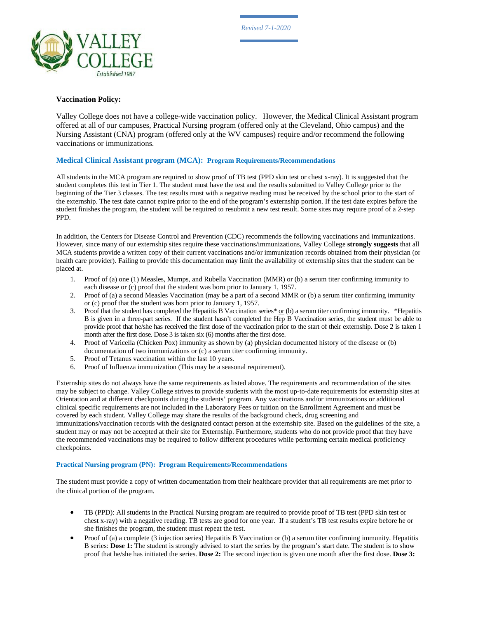

## **Vaccination Policy:**

Valley College does not have a college-wide vaccination policy. However, the Medical Clinical Assistant program offered at all of our campuses, Practical Nursing program (offered only at the Cleveland, Ohio campus) and the Nursing Assistant (CNA) program (offered only at the WV campuses) require and/or recommend the following vaccinations or immunizations.

## **Medical Clinical Assistant program (MCA): Program Requirements/Recommendations**

All students in the MCA program are required to show proof of TB test (PPD skin test or chest x-ray). It is suggested that the student completes this test in Tier 1. The student must have the test and the results submitted to Valley College prior to the beginning of the Tier 3 classes. The test results must with a negative reading must be received by the school prior to the start of the externship. The test date cannot expire prior to the end of the program's externship portion. If the test date expires before the student finishes the program, the student will be required to resubmit a new test result. Some sites may require proof of a 2-step PPD.

In addition, the Centers for Disease Control and Prevention (CDC) recommends the following vaccinations and immunizations. However, since many of our externship sites require these vaccinations/immunizations, Valley College **strongly suggests** that all MCA students provide a written copy of their current vaccinations and/or immunization records obtained from their physician (or health care provider). Failing to provide this documentation may limit the availability of externship sites that the student can be placed at.

- 1. Proof of (a) one (1) Measles, Mumps, and Rubella Vaccination (MMR) or (b) a serum titer confirming immunity to each disease or (c) proof that the student was born prior to January 1, 1957.
- 2. Proof of (a) a second Measles Vaccination (may be a part of a second MMR or (b) a serum titer confirming immunity or (c) proof that the student was born prior to January 1, 1957.
- 3. Proof that the student has completed the Hepatitis B Vaccination series\*  $or$  (b) a serum titer confirming immunity. \*Hepatitis B is given in a three-part series. If the student hasn't completed the Hep B Vaccination series, the student must be able to provide proof that he/she has received the first dose of the vaccination prior to the start of their externship. Dose 2 is taken 1 month after the first dose. Dose 3 is taken six (6) months after the first dose.
- 4. Proof of Varicella (Chicken Pox) immunity as shown by (a) physician documented history of the disease or (b) documentation of two immunizations or (c) a serum titer confirming immunity.
- 5. Proof of Tetanus vaccination within the last 10 years.
- 6. Proof of Influenza immunization (This may be a seasonal requirement).

Externship sites do not always have the same requirements as listed above. The requirements and recommendation of the sites may be subject to change. Valley College strives to provide students with the most up-to-date requirements for externship sites at Orientation and at different checkpoints during the students' program. Any vaccinations and/or immunizations or additional clinical specific requirements are not included in the Laboratory Fees or tuition on the Enrollment Agreement and must be covered by each student. Valley College may share the results of the background check, drug screening and immunizations/vaccination records with the designated contact person at the externship site. Based on the guidelines of the site, a student may or may not be accepted at their site for Externship. Furthermore, students who do not provide proof that they have the recommended vaccinations may be required to follow different procedures while performing certain medical proficiency checkpoints.

## **Practical Nursing program (PN): Program Requirements/Recommendations**

The student must provide a copy of written documentation from their healthcare provider that all requirements are met prior to the clinical portion of the program.

- TB (PPD): All students in the Practical Nursing program are required to provide proof of TB test (PPD skin test or chest x-ray) with a negative reading. TB tests are good for one year. If a student's TB test results expire before he or she finishes the program, the student must repeat the test.
- Proof of (a) a complete (3 injection series) Hepatitis B Vaccination or (b) a serum titer confirming immunity. Hepatitis B series: **Dose 1:** The student is strongly advised to start the series by the program's start date. The student is to show proof that he/she has initiated the series. **Dose 2:** The second injection is given one month after the first dose. **Dose 3:**